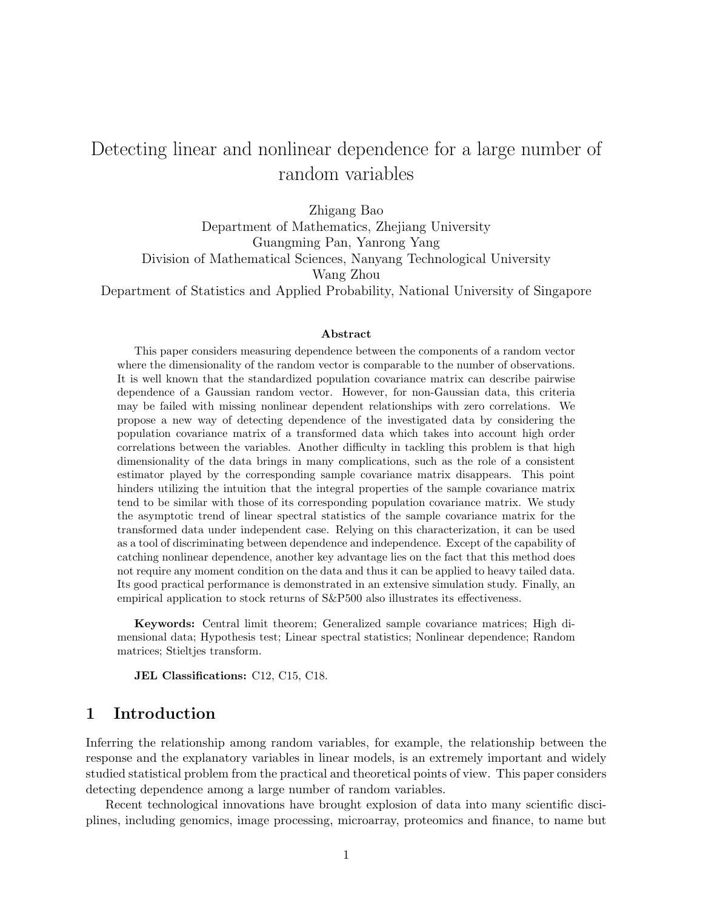# Detecting linear and nonlinear dependence for a large number of random variables

Zhigang Bao Department of Mathematics, Zhejiang University Guangming Pan, Yanrong Yang Division of Mathematical Sciences, Nanyang Technological University Wang Zhou Department of Statistics and Applied Probability, National University of Singapore

#### Abstract

This paper considers measuring dependence between the components of a random vector where the dimensionality of the random vector is comparable to the number of observations. It is well known that the standardized population covariance matrix can describe pairwise dependence of a Gaussian random vector. However, for non-Gaussian data, this criteria may be failed with missing nonlinear dependent relationships with zero correlations. We propose a new way of detecting dependence of the investigated data by considering the population covariance matrix of a transformed data which takes into account high order correlations between the variables. Another difficulty in tackling this problem is that high dimensionality of the data brings in many complications, such as the role of a consistent estimator played by the corresponding sample covariance matrix disappears. This point hinders utilizing the intuition that the integral properties of the sample covariance matrix tend to be similar with those of its corresponding population covariance matrix. We study the asymptotic trend of linear spectral statistics of the sample covariance matrix for the transformed data under independent case. Relying on this characterization, it can be used as a tool of discriminating between dependence and independence. Except of the capability of catching nonlinear dependence, another key advantage lies on the fact that this method does not require any moment condition on the data and thus it can be applied to heavy tailed data. Its good practical performance is demonstrated in an extensive simulation study. Finally, an empirical application to stock returns of S&P500 also illustrates its effectiveness.

Keywords: Central limit theorem; Generalized sample covariance matrices; High dimensional data; Hypothesis test; Linear spectral statistics; Nonlinear dependence; Random matrices; Stieltjes transform.

JEL Classifications: C12, C15, C18.

## 1 Introduction

Inferring the relationship among random variables, for example, the relationship between the response and the explanatory variables in linear models, is an extremely important and widely studied statistical problem from the practical and theoretical points of view. This paper considers detecting dependence among a large number of random variables.

Recent technological innovations have brought explosion of data into many scientific disciplines, including genomics, image processing, microarray, proteomics and finance, to name but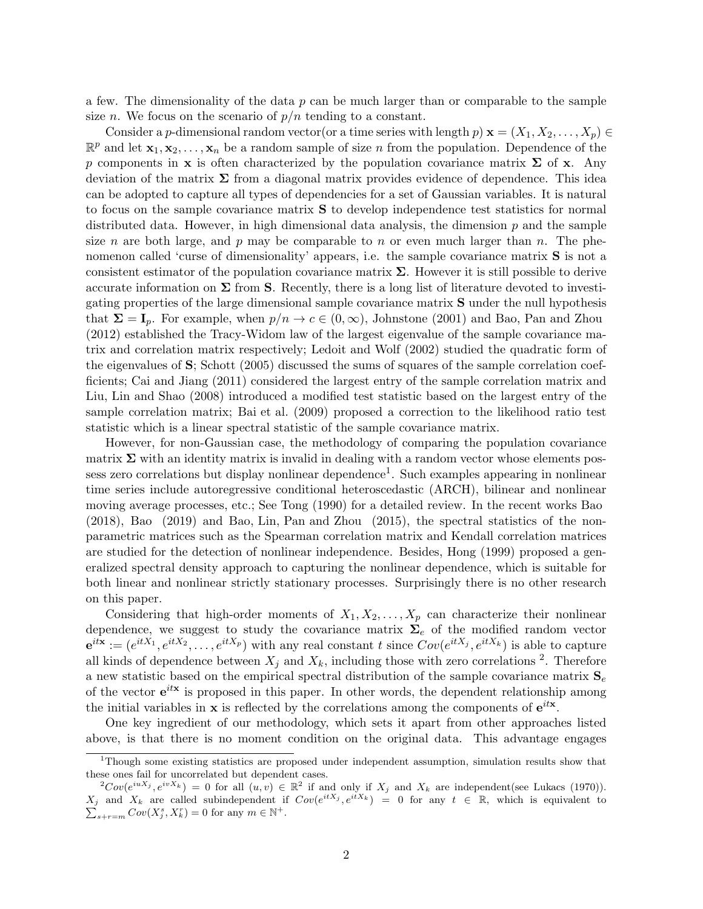a few. The dimensionality of the data  $p$  can be much larger than or comparable to the sample size *n*. We focus on the scenario of  $p/n$  tending to a constant.

Consider a p-dimensional random vector(or a time series with length p)  $\mathbf{x} = (X_1, X_2, \dots, X_p) \in$  $\mathbb{R}^p$  and let  $\mathbf{x}_1, \mathbf{x}_2, \ldots, \mathbf{x}_n$  be a random sample of size n from the population. Dependence of the p components in x is often characterized by the population covariance matrix  $\Sigma$  of x. Any deviation of the matrix  $\Sigma$  from a diagonal matrix provides evidence of dependence. This idea can be adopted to capture all types of dependencies for a set of Gaussian variables. It is natural to focus on the sample covariance matrix S to develop independence test statistics for normal distributed data. However, in high dimensional data analysis, the dimension  $p$  and the sample size n are both large, and p may be comparable to n or even much larger than n. The phenomenon called 'curse of dimensionality' appears, i.e. the sample covariance matrix **S** is not a consistent estimator of the population covariance matrix  $\Sigma$ . However it is still possible to derive accurate information on  $\Sigma$  from S. Recently, there is a long list of literature devoted to investigating properties of the large dimensional sample covariance matrix S under the null hypothesis that  $\Sigma = I_p$ . For example, when  $p/n \to c \in (0,\infty)$ , Johnstone (2001) and Bao, Pan and Zhou (2012) established the Tracy-Widom law of the largest eigenvalue of the sample covariance matrix and correlation matrix respectively; Ledoit and Wolf (2002) studied the quadratic form of the eigenvalues of S; Schott (2005) discussed the sums of squares of the sample correlation coefficients; Cai and Jiang (2011) considered the largest entry of the sample correlation matrix and Liu, Lin and Shao (2008) introduced a modified test statistic based on the largest entry of the sample correlation matrix; Bai et al. (2009) proposed a correction to the likelihood ratio test statistic which is a linear spectral statistic of the sample covariance matrix.

However, for non-Gaussian case, the methodology of comparing the population covariance matrix  $\Sigma$  with an identity matrix is invalid in dealing with a random vector whose elements possess zero correlations but display nonlinear dependence<sup>1</sup>. Such examples appearing in nonlinear time series include autoregressive conditional heteroscedastic (ARCH), bilinear and nonlinear moving average processes, etc.; See Tong (1990) for a detailed review. In the recent works Bao (2018), Bao (2019) and Bao, Lin, Pan and Zhou (2015), the spectral statistics of the nonparametric matrices such as the Spearman correlation matrix and Kendall correlation matrices are studied for the detection of nonlinear independence. Besides, Hong (1999) proposed a generalized spectral density approach to capturing the nonlinear dependence, which is suitable for both linear and nonlinear strictly stationary processes. Surprisingly there is no other research on this paper.

Considering that high-order moments of  $X_1, X_2, \ldots, X_p$  can characterize their nonlinear dependence, we suggest to study the covariance matrix  $\Sigma_e$  of the modified random vector  $e^{itx} := (e^{itX_1}, e^{itX_2}, \ldots, e^{itX_p})$  with any real constant t since  $Cov(e^{itX_j}, e^{itX_k})$  is able to capture all kinds of dependence between  $X_j$  and  $X_k$ , including those with zero correlations <sup>2</sup>. Therefore a new statistic based on the empirical spectral distribution of the sample covariance matrix  $S_e$ of the vector  $e^{itx}$  is proposed in this paper. In other words, the dependent relationship among the initial variables in **x** is reflected by the correlations among the components of  $e^{itx}$ .

One key ingredient of our methodology, which sets it apart from other approaches listed above, is that there is no moment condition on the original data. This advantage engages

<sup>1</sup>Though some existing statistics are proposed under independent assumption, simulation results show that these ones fail for uncorrelated but dependent cases.

 ${}^{2}Cov(e^{iuX_j}, e^{ivX_k}) = 0$  for all  $(u, v) \in \mathbb{R}^2$  if and only if  $X_j$  and  $X_k$  are independent(see Lukacs (1970)).  $X_j$  and  $X_k$  are called subindependent if  $Cov(e^{itX_j}, e^{itX_k}) = 0$  for any  $t \in \mathbb{R}$ , which is equivalent to  $\sum_{s+r=m}^{\infty} Cov(X_j^s, X_k^r) = 0$  for any  $m \in \mathbb{N}^+$ .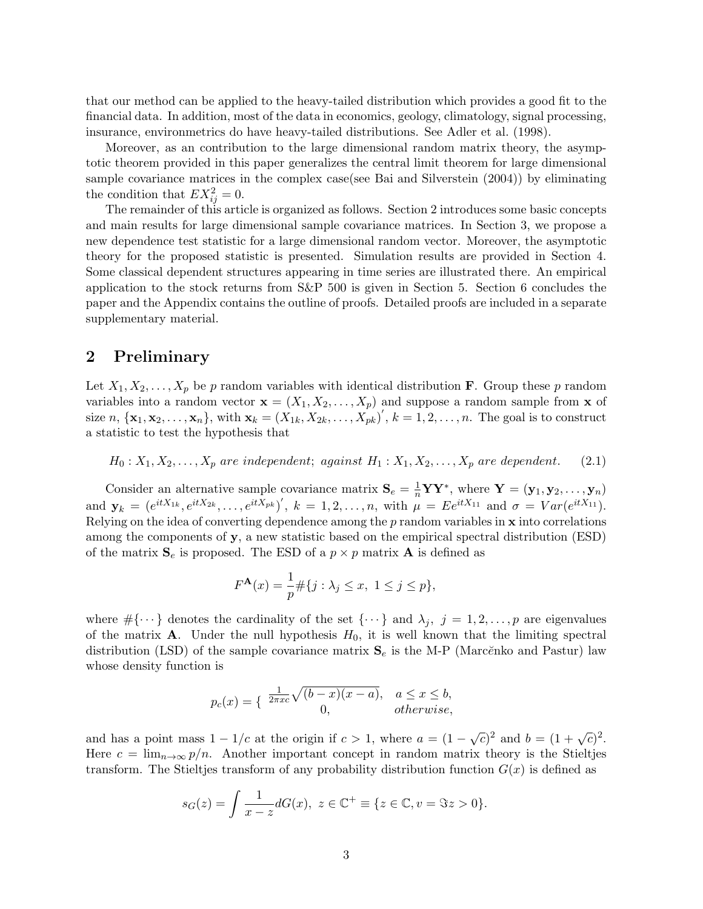that our method can be applied to the heavy-tailed distribution which provides a good fit to the financial data. In addition, most of the data in economics, geology, climatology, signal processing, insurance, environmetrics do have heavy-tailed distributions. See Adler et al. (1998).

Moreover, as an contribution to the large dimensional random matrix theory, the asymptotic theorem provided in this paper generalizes the central limit theorem for large dimensional sample covariance matrices in the complex case(see Bai and Silverstein (2004)) by eliminating the condition that  $EX_{ij}^2 = 0$ .

The remainder of this article is organized as follows. Section 2 introduces some basic concepts and main results for large dimensional sample covariance matrices. In Section 3, we propose a new dependence test statistic for a large dimensional random vector. Moreover, the asymptotic theory for the proposed statistic is presented. Simulation results are provided in Section 4. Some classical dependent structures appearing in time series are illustrated there. An empirical application to the stock returns from S&P 500 is given in Section 5. Section 6 concludes the paper and the Appendix contains the outline of proofs. Detailed proofs are included in a separate supplementary material.

## 2 Preliminary

Let  $X_1, X_2, \ldots, X_n$  be p random variables with identical distribution **F**. Group these p random variables into a random vector  $\mathbf{x} = (X_1, X_2, \dots, X_p)$  and suppose a random sample from  $\mathbf{x}$  of size  $n, {\mathbf{x}_1, \mathbf{x}_2, \ldots, \mathbf{x}_n}$ , with  $\mathbf{x}_k = (X_{1k}, X_{2k}, \ldots, X_{pk}^r)'$ ,  $k = 1, 2, \ldots, n$ . The goal is to construct a statistic to test the hypothesis that

 $H_0: X_1, X_2, \ldots, X_p$  are independent; against  $H_1: X_1, X_2, \ldots, X_p$  are dependent. (2.1)

Consider an alternative sample covariance matrix  $S_e = \frac{1}{n} \mathbf{Y} \mathbf{Y}^*$ , where  $\mathbf{Y} = (\mathbf{y}_1, \mathbf{y}_2, \dots, \mathbf{y}_n)$ and  $\mathbf{y}_k = (e^{itX_{1k}}, e^{itX_{2k}}, \dots, e^{itX_{pk}})'$ ,  $k = 1, 2, \dots, n$ , with  $\mu = E e^{itX_{11}}$  and  $\sigma = Var(e^{itX_{11}})$ . Relying on the idea of converting dependence among the  $p$  random variables in  $x$  into correlations among the components of y, a new statistic based on the empirical spectral distribution (ESD) of the matrix  $S_e$  is proposed. The ESD of a  $p \times p$  matrix **A** is defined as

$$
F^{\mathbf{A}}(x) = \frac{1}{p} \# \{ j : \lambda_j \le x, \ 1 \le j \le p \},
$$

where  $\#\{\cdots\}$  denotes the cardinality of the set  $\{\cdots\}$  and  $\lambda_j$ ,  $j=1,2,\ldots,p$  are eigenvalues of the matrix **A**. Under the null hypothesis  $H_0$ , it is well known that the limiting spectral distribution (LSD) of the sample covariance matrix  $S_e$  is the M-P (Marc $\breve{e}$ nko and Pastur) law whose density function is

$$
p_c(x) = \begin{cases} \frac{1}{2\pi xc} \sqrt{(b-x)(x-a)}, & a \le x \le b, \\ 0, & otherwise, \end{cases}
$$

and has a point mass  $1 - 1/c$  at the origin if  $c > 1$ , where  $a = (1 - \sqrt{c})^2$  and  $b = (1 + \sqrt{c})^2$ . Here  $c = \lim_{n\to\infty} p/n$ . Another important concept in random matrix theory is the Stieltjes transform. The Stieltjes transform of any probability distribution function  $G(x)$  is defined as

$$
s_G(z) = \int \frac{1}{x - z} dG(x), \ z \in \mathbb{C}^+ \equiv \{ z \in \mathbb{C}, v = \Im z > 0 \}.
$$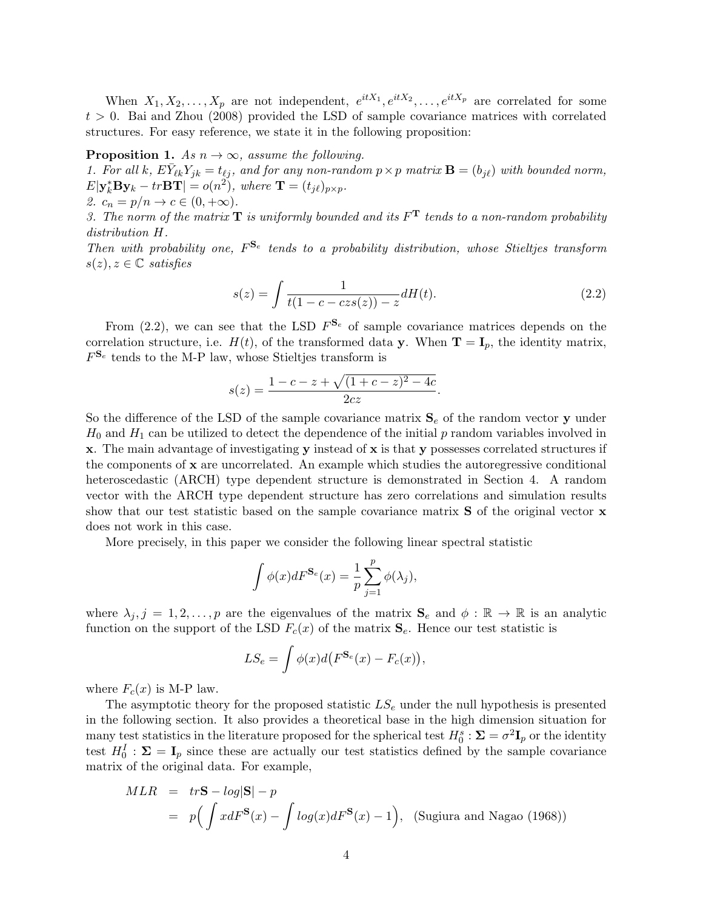When  $X_1, X_2, \ldots, X_p$  are not independent,  $e^{itX_1}, e^{itX_2}, \ldots, e^{itX_p}$  are correlated for some  $t > 0$ . Bai and Zhou (2008) provided the LSD of sample covariance matrices with correlated structures. For easy reference, we state it in the following proposition:

#### **Proposition 1.** As  $n \to \infty$ , assume the following.

1. For all k,  $E\overline{Y}_{\ell k}Y_{jk} = t_{\ell j}$ , and for any non-random  $p \times p$  matrix  $\mathbf{B} = (b_{j\ell})$  with bounded norm,  $E|\mathbf{y}_{k}^{*} \mathbf{B} \mathbf{y}_{k} - tr\mathbf{B} \mathbf{T}| = o(n^{2}),$  where  $\mathbf{T} = (t_{j\ell})_{p \times p}$ . 2.  $c_n = p/n \rightarrow c \in (0, +\infty)$ .

3. The norm of the matrix  $\mathbf T$  is uniformly bounded and its  $F^{\mathbf T}$  tends to a non-random probability distribution H.

Then with probability one,  $F^{\mathbf{S}_e}$  tends to a probability distribution, whose Stieltjes transform  $s(z), z \in \mathbb{C}$  satisfies

$$
s(z) = \int \frac{1}{t(1 - c - czs(z)) - z} dH(t).
$$
 (2.2)

From (2.2), we can see that the LSD  $F^{\mathbf{S}_e}$  of sample covariance matrices depends on the correlation structure, i.e.  $H(t)$ , of the transformed data y. When  $\mathbf{T} = \mathbf{I}_p$ , the identity matrix,  $F^{\mathbf{S}_e}$  tends to the M-P law, whose Stieltjes transform is

$$
s(z) = \frac{1 - c - z + \sqrt{(1 + c - z)^2 - 4c}}{2cz}.
$$

So the difference of the LSD of the sample covariance matrix  $S_e$  of the random vector y under  $H_0$  and  $H_1$  can be utilized to detect the dependence of the initial p random variables involved in x. The main advantage of investigating y instead of x is that y possesses correlated structures if the components of  $x$  are uncorrelated. An example which studies the autoregressive conditional heteroscedastic (ARCH) type dependent structure is demonstrated in Section 4. A random vector with the ARCH type dependent structure has zero correlations and simulation results show that our test statistic based on the sample covariance matrix **S** of the original vector **x** does not work in this case.

More precisely, in this paper we consider the following linear spectral statistic

$$
\int \phi(x)dF^{\mathbf{S}_e}(x) = \frac{1}{p}\sum_{j=1}^p \phi(\lambda_j),
$$

where  $\lambda_j, j = 1, 2, \ldots, p$  are the eigenvalues of the matrix  $S_e$  and  $\phi : \mathbb{R} \to \mathbb{R}$  is an analytic function on the support of the LSD  $F_c(x)$  of the matrix  $S_e$ . Hence our test statistic is

$$
LS_e = \int \phi(x) d(F^{\mathbf{S}_e}(x) - F_c(x)),
$$

where  $F_c(x)$  is M-P law.

The asymptotic theory for the proposed statistic  $LS_e$  under the null hypothesis is presented in the following section. It also provides a theoretical base in the high dimension situation for many test statistics in the literature proposed for the spherical test  $H_0^s : \Sigma = \sigma^2 \mathbf{I}_p$  or the identity test  $H_0^I: \Sigma = I_p$  since these are actually our test statistics defined by the sample covariance matrix of the original data. For example,

$$
MLR = trS - log|S| - p
$$
  
=  $p \left( \int x dF^{S}(x) - \int log(x) dF^{S}(x) - 1 \right)$ , (Sugiura and Nagao (1968))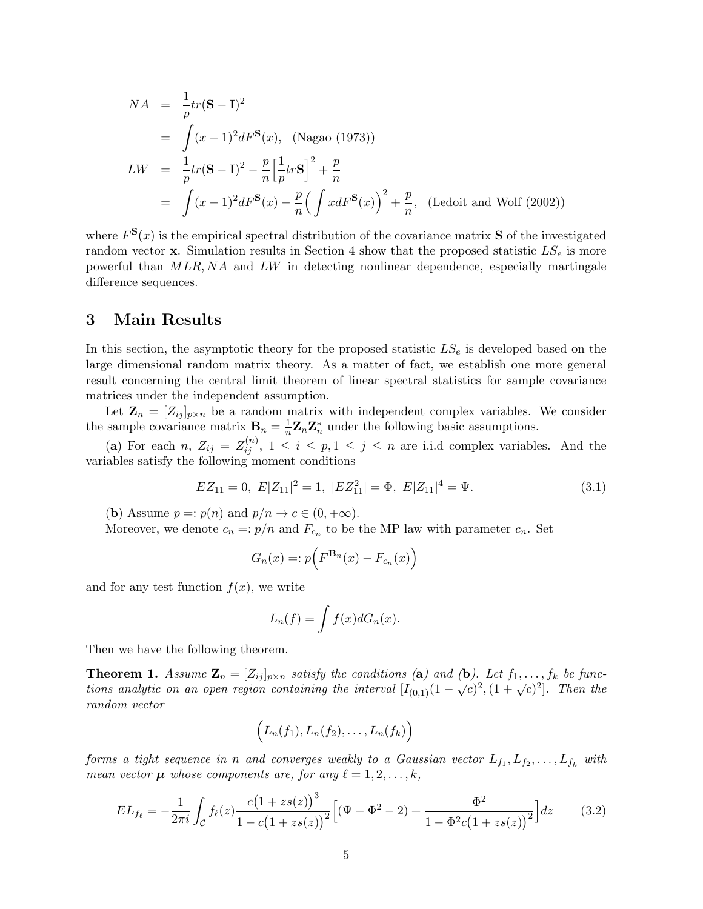$$
NA = \frac{1}{p}tr(\mathbf{S} - \mathbf{I})^2
$$
  
= 
$$
\int (x-1)^2 dF^{\mathbf{S}}(x), \text{ (Nagao (1973))}
$$
  

$$
LW = \frac{1}{p}tr(\mathbf{S} - \mathbf{I})^2 - \frac{p}{n} \left[ \frac{1}{p}tr\mathbf{S} \right]^2 + \frac{p}{n}
$$
  
= 
$$
\int (x-1)^2 dF^{\mathbf{S}}(x) - \frac{p}{n} \left( \int x dF^{\mathbf{S}}(x) \right)^2 + \frac{p}{n}, \text{ (Ledoit and Wolf (2002))}
$$

where  $F^{\mathbf{S}}(x)$  is the empirical spectral distribution of the covariance matrix **S** of the investigated random vector x. Simulation results in Section 4 show that the proposed statistic  $LS_e$  is more powerful than MLR, NA and LW in detecting nonlinear dependence, especially martingale difference sequences.

## 3 Main Results

In this section, the asymptotic theory for the proposed statistic  $LS<sub>e</sub>$  is developed based on the large dimensional random matrix theory. As a matter of fact, we establish one more general result concerning the central limit theorem of linear spectral statistics for sample covariance matrices under the independent assumption.

Let  $\mathbf{Z}_n = [Z_{ij}]_{p \times n}$  be a random matrix with independent complex variables. We consider the sample covariance matrix  $\mathbf{B}_n = \frac{1}{n} \mathbf{Z}_n \mathbf{Z}_n^*$  under the following basic assumptions.

(a) For each n,  $Z_{ij} = Z_{ij}^{(n)}$ ,  $1 \le i \le p, 1 \le j \le n$  are i.i.d complex variables. And the variables satisfy the following moment conditions

$$
EZ_{11} = 0, \ E|Z_{11}|^2 = 1, \ |EZ_{11}^2| = \Phi, \ E|Z_{11}|^4 = \Psi.
$$
\n
$$
(3.1)
$$

(b) Assume  $p =: p(n)$  and  $p/n \rightarrow c \in (0, +\infty)$ .

Moreover, we denote  $c_n = p/n$  and  $F_{c_n}$  to be the MP law with parameter  $c_n$ . Set

$$
G_n(x) =: p\Big(F^{\mathbf{B}_n}(x) - F_{c_n}(x)\Big)
$$

and for any test function  $f(x)$ , we write

$$
L_n(f) = \int f(x)dG_n(x).
$$

Then we have the following theorem.

**Theorem 1.** Assume  $\mathbf{Z}_n = [Z_{ij}]_{p \times n}$  satisfy the conditions (a) and (b). Let  $f_1, \ldots, f_k$  be func-**Theorem 1.** Assume  $\mathbf{z}_n = [z_{ij}]_{p \times n}$  substytute containing (a) and (b). Let  $j_1, \ldots, j_k$  be functions analytic on an open region containing the interval  $[I_{(0,1)}(1 - \sqrt{c})^2, (1 + \sqrt{c})^2]$ . Then the random vector

$$
\Big(L_n(f_1),L_n(f_2),\ldots,L_n(f_k)\Big)
$$

forms a tight sequence in n and converges weakly to a Gaussian vector  $L_{f_1}, L_{f_2}, \ldots, L_{f_k}$  with mean vector  $\mu$  whose components are, for any  $\ell = 1, 2, \ldots, k$ ,

$$
EL_{f_{\ell}} = -\frac{1}{2\pi i} \int_{\mathcal{C}} f_{\ell}(z) \frac{c(1+zs(z))^3}{1-c(1+zs(z))^2} \Big[ (\Psi - \Phi^2 - 2) + \frac{\Phi^2}{1-\Phi^2 c(1+zs(z))^2} \Big] dz \tag{3.2}
$$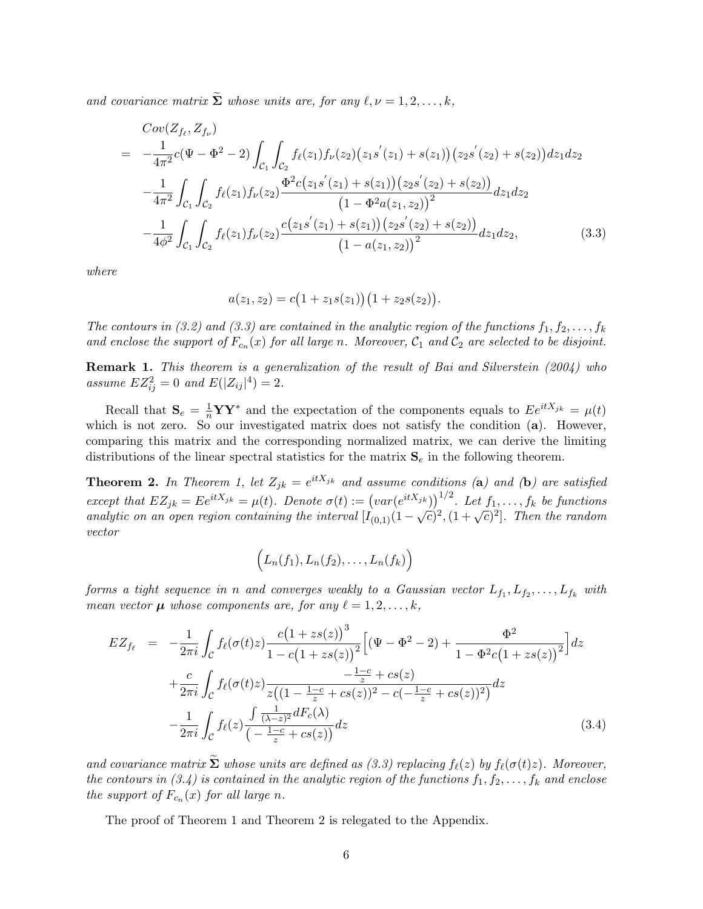and covariance matrix  $\Sigma$  whose units are, for any  $\ell, \nu = 1, 2, \ldots, k$ ,

$$
Cov(Z_{f_{\ell}}, Z_{f_{\nu}})
$$
\n
$$
= -\frac{1}{4\pi^2} c(\Psi - \Phi^2 - 2) \int_{\mathcal{C}_1} \int_{\mathcal{C}_2} f_{\ell}(z_1) f_{\nu}(z_2) (z_1 s'(z_1) + s(z_1)) (z_2 s'(z_2) + s(z_2)) dz_1 dz_2
$$
\n
$$
- \frac{1}{4\pi^2} \int_{\mathcal{C}_1} \int_{\mathcal{C}_2} f_{\ell}(z_1) f_{\nu}(z_2) \frac{\Phi^2 c(z_1 s'(z_1) + s(z_1)) (z_2 s'(z_2) + s(z_2))}{(1 - \Phi^2 a(z_1, z_2))^2} dz_1 dz_2
$$
\n
$$
- \frac{1}{4\phi^2} \int_{\mathcal{C}_1} \int_{\mathcal{C}_2} f_{\ell}(z_1) f_{\nu}(z_2) \frac{c(z_1 s'(z_1) + s(z_1)) (z_2 s'(z_2) + s(z_2))}{(1 - a(z_1, z_2))^2} dz_1 dz_2, \qquad (3.3)
$$

where

$$
a(z_1, z_2) = c(1 + z_1 s(z_1))(1 + z_2 s(z_2)).
$$

The contours in (3.2) and (3.3) are contained in the analytic region of the functions  $f_1, f_2, \ldots, f_k$ and enclose the support of  $F_{c_n}(x)$  for all large n. Moreover,  $\mathcal{C}_1$  and  $\mathcal{C}_2$  are selected to be disjoint.

Remark 1. This theorem is a generalization of the result of Bai and Silverstein (2004) who assume  $EZ_{ij}^2 = 0$  and  $E(|Z_{ij}|^4) = 2$ .

Recall that  $S_e = \frac{1}{n} \mathbf{Y} \mathbf{Y}^*$  and the expectation of the components equals to  $E e^{itX_{jk}} = \mu(t)$ which is not zero. So our investigated matrix does not satisfy the condition (a). However, comparing this matrix and the corresponding normalized matrix, we can derive the limiting distributions of the linear spectral statistics for the matrix  $S_e$  in the following theorem.

**Theorem 2.** In Theorem 1, let  $Z_{jk} = e^{itX_{jk}}$  and assume conditions (a) and (b) are satisfied except that  $EZ_{jk} = Ee^{itX_{jk}} = \mu(t)$ . Denote  $\sigma(t) := (var(e^{itX_{jk}}))^{1/2}$ . Let  $f_1, \ldots, f_k$  be functions except that  $E_1E_2 + E_2 = \cdots = \mu(t)$ . Denote  $\sigma(t) = (\alpha t (e^{-\alpha t}))$ . Let  $f_1, \ldots, f_k$  be functions<br>analytic on an open region containing the interval  $[I_{(0,1)}(1-\sqrt{c})^2, (1+\sqrt{c})^2]$ . Then the random vector

$$
\Big(L_n(f_1),L_n(f_2),\ldots,L_n(f_k)\Big)
$$

forms a tight sequence in n and converges weakly to a Gaussian vector  $L_{f_1}, L_{f_2}, \ldots, L_{f_k}$  with mean vector  $\mu$  whose components are, for any  $\ell = 1, 2, \ldots, k$ ,

$$
EZ_{f_{\ell}} = -\frac{1}{2\pi i} \int_{\mathcal{C}} f_{\ell}(\sigma(t)z) \frac{c(1+zs(z))^3}{1-c(1+zs(z))^2} \Big[ (\Psi - \Phi^2 - 2) + \frac{\Phi^2}{1-\Phi^2 c(1+zs(z))^2} \Big] dz
$$
  
+ 
$$
\frac{c}{2\pi i} \int_{\mathcal{C}} f_{\ell}(\sigma(t)z) \frac{-\frac{1-c}{z} + cs(z)}{z((1-\frac{1-c}{z}+cs(z))^2 - c(-\frac{1-c}{z}+cs(z))^2)} dz
$$
  
- 
$$
\frac{1}{2\pi i} \int_{\mathcal{C}} f_{\ell}(z) \frac{\int \frac{1}{(\lambda-z)^2} dF_c(\lambda)}{(-\frac{1-c}{z}+cs(z))} dz
$$
(3.4)

and covariance matrix  $\tilde{\Sigma}$  whose units are defined as (3.3) replacing  $f_{\ell}(z)$  by  $f_{\ell}(\sigma(t)z)$ . Moreover, the contours in (3.4) is contained in the analytic region of the functions  $f_1, f_2, \ldots, f_k$  and enclose the support of  $F_{c_n}(x)$  for all large n.

The proof of Theorem 1 and Theorem 2 is relegated to the Appendix.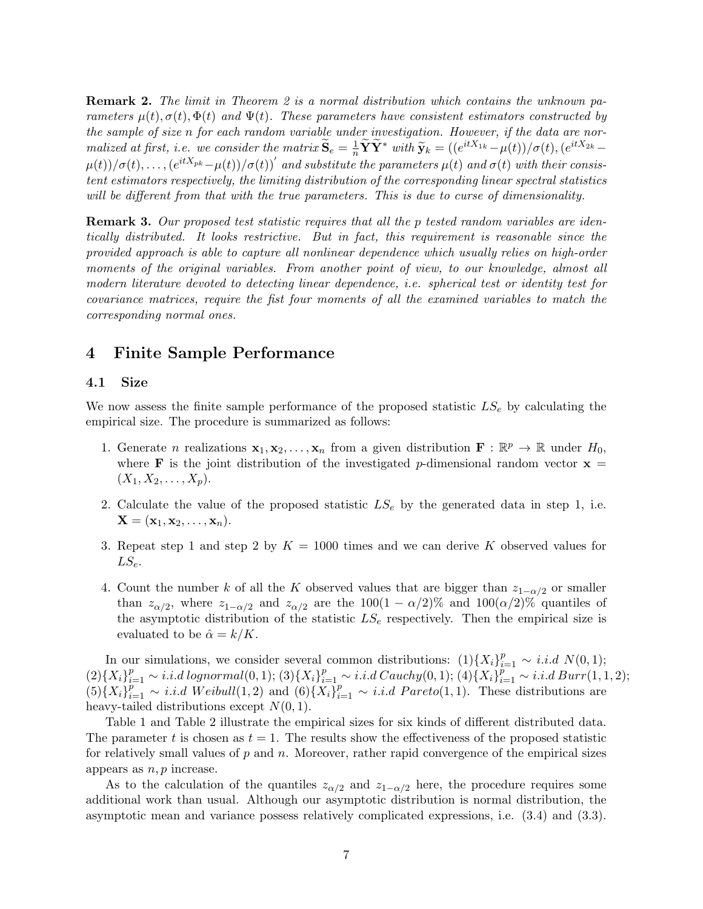Remark 2. The limit in Theorem 2 is a normal distribution which contains the unknown parameters  $\mu(t), \sigma(t), \Phi(t)$  and  $\Psi(t)$ . These parameters have consistent estimators constructed by the sample of size n for each random variable under investigation. However, if the data are normalized at first, i.e. we consider the matrix  $\widetilde{\mathbf{S}}_e = \frac{1}{n} \widetilde{\mathbf{Y}} \widetilde{\mathbf{Y}}^*$  with  $\widetilde{\mathbf{y}}_k = ((e^{itX_{1k}} - \mu(t))/\sigma(t), (e^{itX_{2k}} - \mu(t))/\sigma(t))$  $\mu(t))/\sigma(t),\ldots,(e^{itX_{pk}}-\mu(t))/\sigma(t))^{'}$  and substitute the parameters  $\mu(t)$  and  $\sigma(t)$  with their consistent estimators respectively, the limiting distribution of the corresponding linear spectral statistics will be different from that with the true parameters. This is due to curse of dimensionality.

Remark 3. Our proposed test statistic requires that all the p tested random variables are identically distributed. It looks restrictive. But in fact, this requirement is reasonable since the provided approach is able to capture all nonlinear dependence which usually relies on high-order moments of the original variables. From another point of view, to our knowledge, almost all modern literature devoted to detecting linear dependence, i.e. spherical test or identity test for covariance matrices, require the fist four moments of all the examined variables to match the corresponding normal ones.

# 4 Finite Sample Performance

#### 4.1 Size

We now assess the finite sample performance of the proposed statistic  $LS_e$  by calculating the empirical size. The procedure is summarized as follows:

- 1. Generate *n* realizations  $\mathbf{x}_1, \mathbf{x}_2, \ldots, \mathbf{x}_n$  from a given distribution  $\mathbf{F} : \mathbb{R}^p \to \mathbb{R}$  under  $H_0$ , where **F** is the joint distribution of the investigated p-dimensional random vector  $x =$  $(X_1, X_2, \ldots, X_p).$
- 2. Calculate the value of the proposed statistic  $LS_e$  by the generated data in step 1, i.e.  $\mathbf{X} = (\mathbf{x}_1, \mathbf{x}_2, \dots, \mathbf{x}_n).$
- 3. Repeat step 1 and step 2 by  $K = 1000$  times and we can derive K observed values for  $LS_e$ .
- 4. Count the number k of all the K observed values that are bigger than  $z_{1-\alpha/2}$  or smaller than  $z_{\alpha/2}$ , where  $z_{1-\alpha/2}$  and  $z_{\alpha/2}$  are the  $100(1-\alpha/2)\%$  and  $100(\alpha/2)\%$  quantiles of the asymptotic distribution of the statistic  $LS_e$  respectively. Then the empirical size is evaluated to be  $\hat{\alpha} = k/K$ .

In our simulations, we consider several common distributions:  $(1)\{X_i\}_{i=1}^p \sim i.i.d \ N(0,1);$  $(2)\{X_i\}_{i=1}^p \sim i.i.d\ lognormal(0,1);$   $(3)\{X_i\}_{i=1}^p \sim i.i.d\ Cauchy(0,1);$   $(4)\{X_i\}_{i=1}^p \sim i.i.d\ Burr(1,1,2);$  $(5)\left\{X_i\right\}_{i=1}^p \sim i.i.d$  Weibull $(1,2)$  and  $(6)\left\{X_i\right\}_{i=1}^p \sim i.i.d$  Pareto $(1,1)$ . These distributions are heavy-tailed distributions except  $N(0, 1)$ .

Table 1 and Table 2 illustrate the empirical sizes for six kinds of different distributed data. The parameter t is chosen as  $t = 1$ . The results show the effectiveness of the proposed statistic for relatively small values of  $p$  and  $n$ . Moreover, rather rapid convergence of the empirical sizes appears as  $n, p$  increase.

As to the calculation of the quantiles  $z_{\alpha/2}$  and  $z_{1-\alpha/2}$  here, the procedure requires some additional work than usual. Although our asymptotic distribution is normal distribution, the asymptotic mean and variance possess relatively complicated expressions, i.e. (3.4) and (3.3).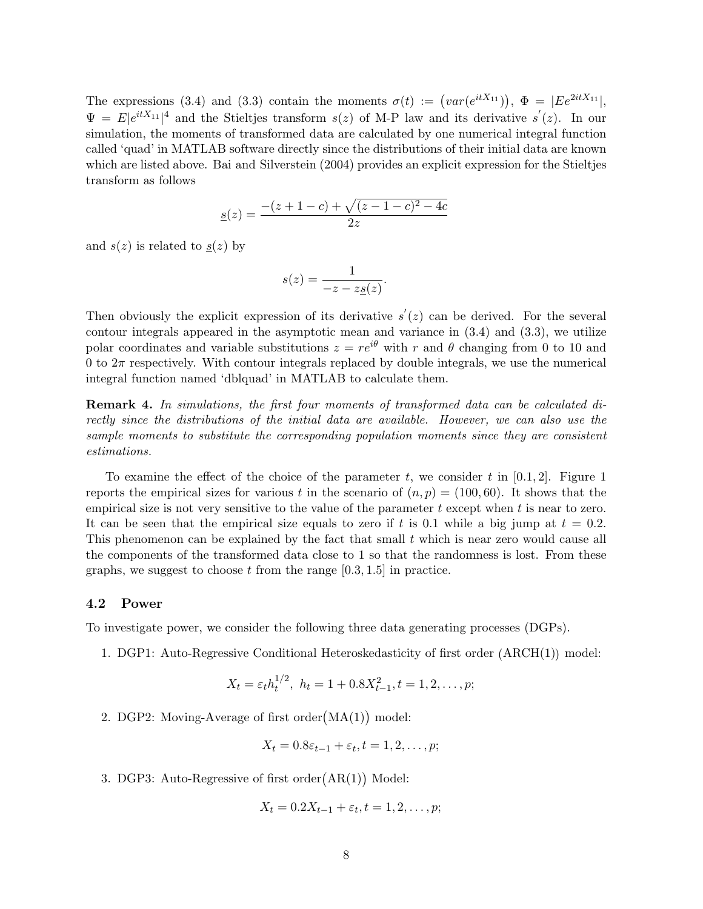The expressions (3.4) and (3.3) contain the moments  $\sigma(t) := (var(e^{itX_{11}}))$ ,  $\Phi = |Ee^{2itX_{11}}|$ ,  $\Psi = E|e^{itX_{11}}|^4$  and the Stieltjes transform  $s(z)$  of M-P law and its derivative  $s'(z)$ . In our simulation, the moments of transformed data are calculated by one numerical integral function called 'quad' in MATLAB software directly since the distributions of their initial data are known which are listed above. Bai and Silverstein (2004) provides an explicit expression for the Stieltjes transform as follows

$$
\underline{s}(z) = \frac{-(z+1-c) + \sqrt{(z-1-c)^2 - 4c}}{2z}
$$

and  $s(z)$  is related to  $s(z)$  by

$$
s(z) = \frac{1}{-z - z\underline{s}(z)}.
$$

Then obviously the explicit expression of its derivative  $s'(z)$  can be derived. For the several contour integrals appeared in the asymptotic mean and variance in (3.4) and (3.3), we utilize polar coordinates and variable substitutions  $z = re^{i\theta}$  with r and  $\theta$  changing from 0 to 10 and 0 to  $2\pi$  respectively. With contour integrals replaced by double integrals, we use the numerical integral function named 'dblquad' in MATLAB to calculate them.

Remark 4. In simulations, the first four moments of transformed data can be calculated directly since the distributions of the initial data are available. However, we can also use the sample moments to substitute the corresponding population moments since they are consistent estimations.

To examine the effect of the choice of the parameter t, we consider t in  $[0.1, 2]$ . Figure 1 reports the empirical sizes for various t in the scenario of  $(n, p) = (100, 60)$ . It shows that the empirical size is not very sensitive to the value of the parameter  $t$  except when  $t$  is near to zero. It can be seen that the empirical size equals to zero if t is 0.1 while a big jump at  $t = 0.2$ . This phenomenon can be explained by the fact that small  $t$  which is near zero would cause all the components of the transformed data close to 1 so that the randomness is lost. From these graphs, we suggest to choose t from the range  $[0.3, 1.5]$  in practice.

#### 4.2 Power

To investigate power, we consider the following three data generating processes (DGPs).

1. DGP1: Auto-Regressive Conditional Heteroskedasticity of first order ARCH(1) model:

$$
X_t = \varepsilon_t h_t^{1/2}, \ h_t = 1 + 0.8X_{t-1}^2, t = 1, 2, \dots, p;
$$

2. DGP2: Moving-Average of first order MA(1) model:

$$
X_t = 0.8\varepsilon_{t-1} + \varepsilon_t, t = 1, 2, \dots, p;
$$

3. DGP3: Auto-Regressive of first order $(AR(1))$  Model:

$$
X_t = 0.2X_{t-1} + \varepsilon_t, t = 1, 2, \dots, p;
$$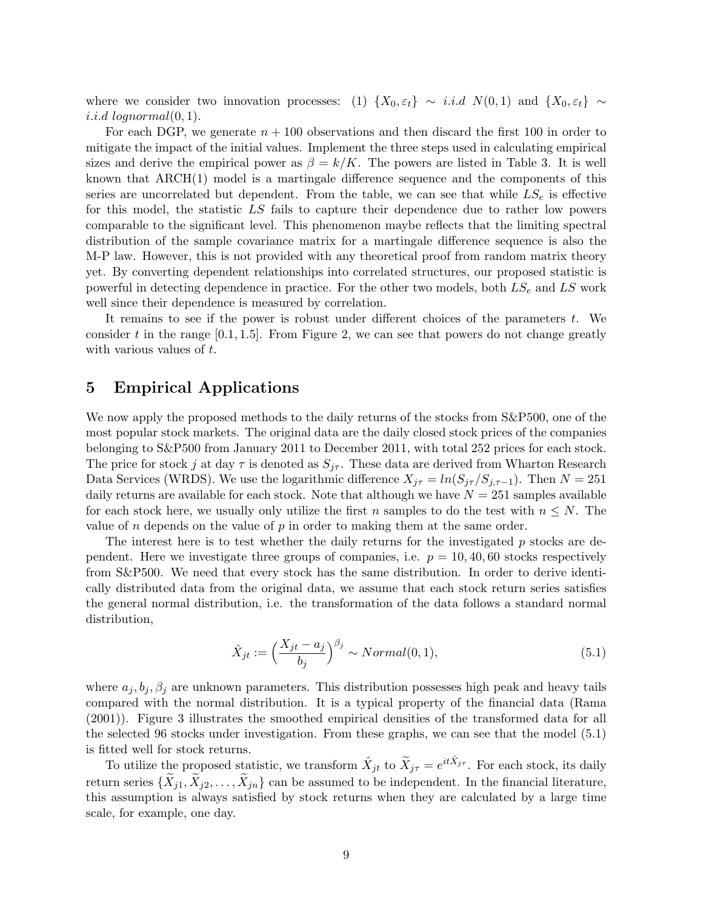where we consider two innovation processes: (1)  $\{X_0, \varepsilon_t\} \sim i.i.d \ N(0, 1)$  and  $\{X_0, \varepsilon_t\} \sim$ i.i.d lognormal $(0, 1)$ .

For each DGP, we generate  $n + 100$  observations and then discard the first 100 in order to mitigate the impact of the initial values. Implement the three steps used in calculating empirical sizes and derive the empirical power as  $\beta = k/K$ . The powers are listed in Table 3. It is well known that  $\text{ARCH}(1)$  model is a martingale difference sequence and the components of this series are uncorrelated but dependent. From the table, we can see that while  $LS_e$  is effective for this model, the statistic LS fails to capture their dependence due to rather low powers comparable to the significant level. This phenomenon maybe reflects that the limiting spectral distribution of the sample covariance matrix for a martingale difference sequence is also the M-P law. However, this is not provided with any theoretical proof from random matrix theory yet. By converting dependent relationships into correlated structures, our proposed statistic is powerful in detecting dependence in practice. For the other two models, both  $LS<sub>e</sub>$  and LS work well since their dependence is measured by correlation.

It remains to see if the power is robust under different choices of the parameters  $t$ . We consider t in the range  $[0.1, 1.5]$ . From Figure 2, we can see that powers do not change greatly with various values of t.

## 5 Empirical Applications

We now apply the proposed methods to the daily returns of the stocks from  $S\&P500$ , one of the most popular stock markets. The original data are the daily closed stock prices of the companies belonging to S&P500 from January 2011 to December 2011, with total 252 prices for each stock. The price for stock j at day  $\tau$  is denoted as  $S_{j\tau}$ . These data are derived from Wharton Research Data Services (WRDS). We use the logarithmic difference  $X_{j\tau} = \ln(S_{j\tau}/S_{j,\tau-1})$ . Then  $N = 251$ daily returns are available for each stock. Note that although we have  $N = 251$  samples available for each stock here, we usually only utilize the first n samples to do the test with  $n \leq N$ . The value of n depends on the value of  $p$  in order to making them at the same order.

The interest here is to test whether the daily returns for the investigated  $p$  stocks are dependent. Here we investigate three groups of companies, i.e.  $p = 10, 40, 60$  stocks respectively from S&P500. We need that every stock has the same distribution. In order to derive identically distributed data from the original data, we assume that each stock return series satisfies the general normal distribution, i.e. the transformation of the data follows a standard normal distribution,

$$
\hat{X}_{jt} := \left(\frac{X_{jt} - a_j}{b_j}\right)^{\beta_j} \sim Normal(0, 1),\tag{5.1}
$$

where  $a_j, b_j, \beta_j$  are unknown parameters. This distribution possesses high peak and heavy tails compared with the normal distribution. It is a typical property of the financial data (Rama (2001)). Figure 3 illustrates the smoothed empirical densities of the transformed data for all the selected 96 stocks under investigation. From these graphs, we can see that the model (5.1) is fitted well for stock returns.

To utilize the proposed statistic, we transform  $\hat{X}_{jt}$  to  $\tilde{X}_{j\tau} = e^{it\hat{X}_{j\tau}}$ . For each stock, its daily return series  $\{\tilde{X}_{i1}, \tilde{X}_{i2}, \ldots, \tilde{X}_{in}\}$  can be assumed to be independent. In the financial literature, this assumption is always satisfied by stock returns when they are calculated by a large time scale, for example, one day.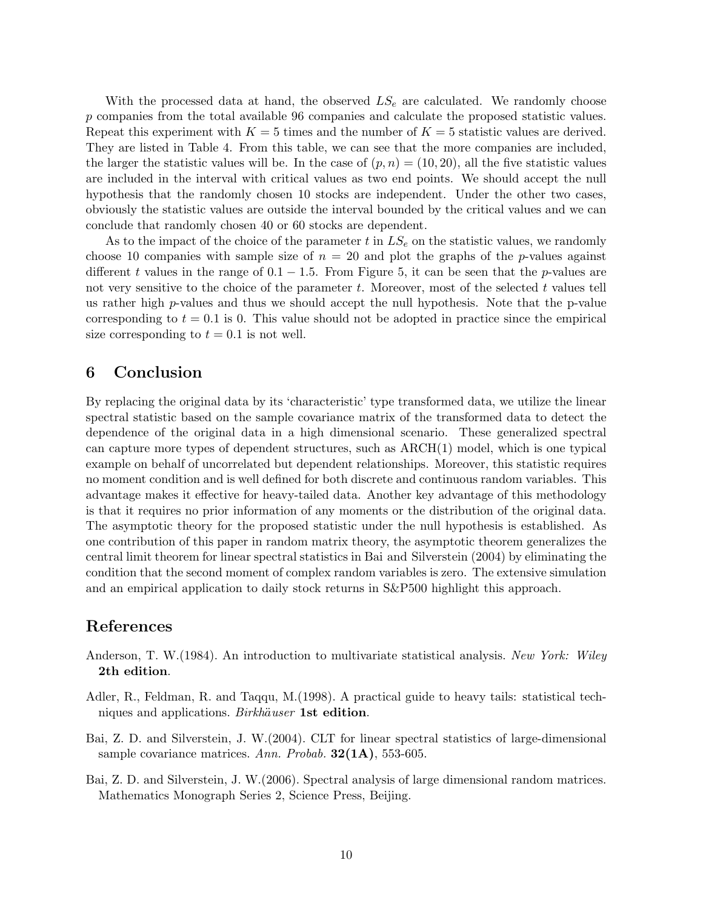With the processed data at hand, the observed  $LS_e$  are calculated. We randomly choose p companies from the total available 96 companies and calculate the proposed statistic values. Repeat this experiment with  $K = 5$  times and the number of  $K = 5$  statistic values are derived. They are listed in Table 4. From this table, we can see that the more companies are included, the larger the statistic values will be. In the case of  $(p, n) = (10, 20)$ , all the five statistic values are included in the interval with critical values as two end points. We should accept the null hypothesis that the randomly chosen 10 stocks are independent. Under the other two cases, obviously the statistic values are outside the interval bounded by the critical values and we can conclude that randomly chosen 40 or 60 stocks are dependent.

As to the impact of the choice of the parameter t in  $LS<sub>e</sub>$  on the statistic values, we randomly choose 10 companies with sample size of  $n = 20$  and plot the graphs of the p-values against different t values in the range of  $0.1 - 1.5$ . From Figure 5, it can be seen that the p-values are not very sensitive to the choice of the parameter  $t$ . Moreover, most of the selected  $t$  values tell us rather high  $p$ -values and thus we should accept the null hypothesis. Note that the  $p$ -value corresponding to  $t = 0.1$  is 0. This value should not be adopted in practice since the empirical size corresponding to  $t = 0.1$  is not well.

# 6 Conclusion

By replacing the original data by its 'characteristic' type transformed data, we utilize the linear spectral statistic based on the sample covariance matrix of the transformed data to detect the dependence of the original data in a high dimensional scenario. These generalized spectral can capture more types of dependent structures, such as ARCH(1) model, which is one typical example on behalf of uncorrelated but dependent relationships. Moreover, this statistic requires no moment condition and is well defined for both discrete and continuous random variables. This advantage makes it effective for heavy-tailed data. Another key advantage of this methodology is that it requires no prior information of any moments or the distribution of the original data. The asymptotic theory for the proposed statistic under the null hypothesis is established. As one contribution of this paper in random matrix theory, the asymptotic theorem generalizes the central limit theorem for linear spectral statistics in Bai and Silverstein (2004) by eliminating the condition that the second moment of complex random variables is zero. The extensive simulation and an empirical application to daily stock returns in S&P500 highlight this approach.

## References

- Anderson, T. W.(1984). An introduction to multivariate statistical analysis. New York: Wiley 2th edition.
- Adler, R., Feldman, R. and Taqqu, M.(1998). A practical guide to heavy tails: statistical techniques and applications. Birkhäuser 1st edition.
- Bai, Z. D. and Silverstein, J. W.(2004). CLT for linear spectral statistics of large-dimensional sample covariance matrices. Ann. Probab.  $32(1A)$ , 553-605.
- Bai, Z. D. and Silverstein, J. W.(2006). Spectral analysis of large dimensional random matrices. Mathematics Monograph Series 2, Science Press, Beijing.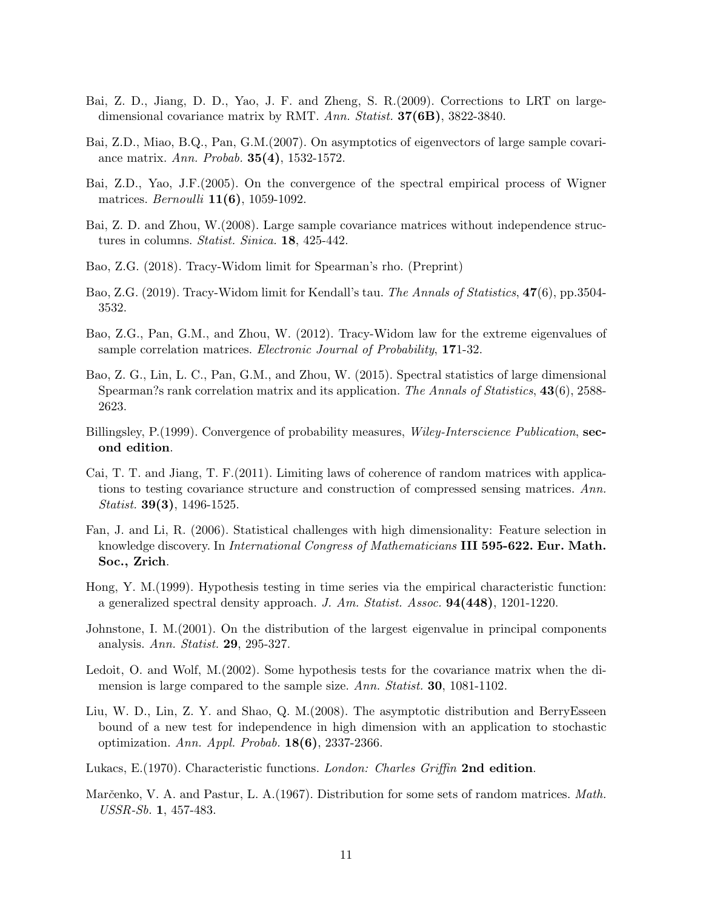- Bai, Z. D., Jiang, D. D., Yao, J. F. and Zheng, S. R.(2009). Corrections to LRT on largedimensional covariance matrix by RMT. Ann. Statist. **37(6B)**, 3822-3840.
- Bai, Z.D., Miao, B.Q., Pan, G.M.(2007). On asymptotics of eigenvectors of large sample covariance matrix. Ann. Probab. 35(4), 1532-1572.
- Bai, Z.D., Yao, J.F.(2005). On the convergence of the spectral empirical process of Wigner matrices. *Bernoulli* **11(6)**, 1059-1092.
- Bai, Z. D. and Zhou, W.(2008). Large sample covariance matrices without independence structures in columns. Statist. Sinica. 18, 425-442.
- Bao, Z.G. (2018). Tracy-Widom limit for Spearman's rho. (Preprint)
- Bao, Z.G. (2019). Tracy-Widom limit for Kendall's tau. The Annals of Statistics, 47(6), pp.3504- 3532.
- Bao, Z.G., Pan, G.M., and Zhou, W. (2012). Tracy-Widom law for the extreme eigenvalues of sample correlation matrices. Electronic Journal of Probability, 171-32.
- Bao, Z. G., Lin, L. C., Pan, G.M., and Zhou, W. (2015). Spectral statistics of large dimensional Spearman?s rank correlation matrix and its application. The Annals of Statistics, 43(6), 2588-2623.
- Billingsley, P. (1999). Convergence of probability measures, Wiley-Interscience Publication, second edition.
- Cai, T. T. and Jiang, T. F.(2011). Limiting laws of coherence of random matrices with applications to testing covariance structure and construction of compressed sensing matrices. Ann. Statist. 39(3), 1496-1525.
- Fan, J. and Li, R. (2006). Statistical challenges with high dimensionality: Feature selection in knowledge discovery. In *International Congress of Mathematicians* III 595-622. Eur. Math. Soc., Zrich.
- Hong, Y. M.(1999). Hypothesis testing in time series via the empirical characteristic function: a generalized spectral density approach. J. Am. Statist. Assoc.  $94(448)$ , 1201-1220.
- Johnstone, I. M.(2001). On the distribution of the largest eigenvalue in principal components analysis. Ann. Statist. 29, 295-327.
- Ledoit, O. and Wolf, M.(2002). Some hypothesis tests for the covariance matrix when the dimension is large compared to the sample size. Ann. Statist. 30, 1081-1102.
- Liu, W. D., Lin, Z. Y. and Shao, Q. M.(2008). The asymptotic distribution and BerryEsseen bound of a new test for independence in high dimension with an application to stochastic optimization. Ann. Appl. Probab.  $18(6)$ , 2337-2366.
- Lukacs, E.(1970). Characteristic functions. London: Charles Griffin 2nd edition.
- Marčenko, V. A. and Pastur, L. A. (1967). Distribution for some sets of random matrices. Math. USSR-Sb. 1, 457-483.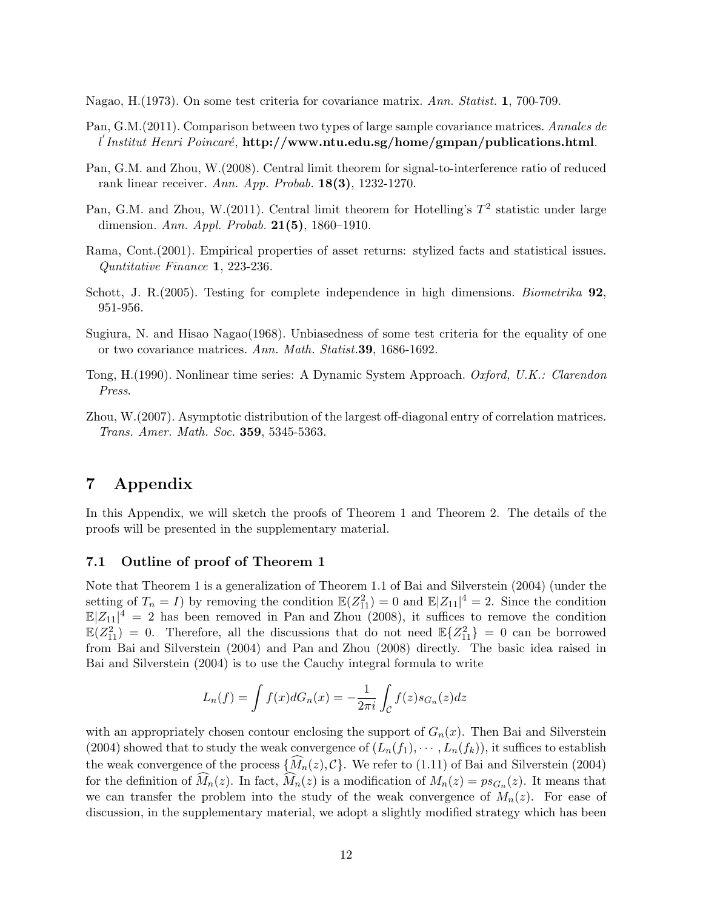Nagao, H.(1973). On some test criteria for covariance matrix. Ann. Statist. 1, 700-709.

- Pan, G.M.(2011). Comparison between two types of large sample covariance matrices. Annales de l'Institut Henri Poincaré, http://www.ntu.edu.sg/home/gmpan/publications.html.
- Pan, G.M. and Zhou, W.(2008). Central limit theorem for signal-to-interference ratio of reduced rank linear receiver. Ann. App. Probab. 18(3), 1232-1270.
- Pan, G.M. and Zhou, W.(2011). Central limit theorem for Hotelling's  $T^2$  statistic under large dimension. Ann. Appl. Probab. 21(5), 1860–1910.
- Rama, Cont.(2001). Empirical properties of asset returns: stylized facts and statistical issues. Quntitative Finance 1, 223-236.
- Schott, J. R.(2005). Testing for complete independence in high dimensions. Biometrika 92, 951-956.
- Sugiura, N. and Hisao Nagao(1968). Unbiasedness of some test criteria for the equality of one or two covariance matrices. Ann. Math. Statist.39, 1686-1692.
- Tong, H.(1990). Nonlinear time series: A Dynamic System Approach. Oxford, U.K.: Clarendon Press.
- Zhou, W.(2007). Asymptotic distribution of the largest off-diagonal entry of correlation matrices. Trans. Amer. Math. Soc. 359, 5345-5363.

# 7 Appendix

In this Appendix, we will sketch the proofs of Theorem 1 and Theorem 2. The details of the proofs will be presented in the supplementary material.

#### 7.1 Outline of proof of Theorem 1

Note that Theorem 1 is a generalization of Theorem 1.1 of Bai and Silverstein (2004) (under the setting of  $T_n = I$ ) by removing the condition  $\mathbb{E}(Z_{11}^2) = 0$  and  $\mathbb{E}|Z_{11}|^4 = 2$ . Since the condition  $\mathbb{E}|Z_{11}|^4 = 2$  has been removed in Pan and Zhou (2008), it suffices to remove the condition  $\mathbb{E}(Z_{11}^2) = 0$ . Therefore, all the discussions that do not need  $\mathbb{E}\{Z_{11}^2\} = 0$  can be borrowed from Bai and Silverstein (2004) and Pan and Zhou (2008) directly. The basic idea raised in Bai and Silverstein (2004) is to use the Cauchy integral formula to write

$$
L_n(f) = \int f(x)dG_n(x) = -\frac{1}{2\pi i}\int_{\mathcal{C}}f(z)s_{G_n}(z)dz
$$

with an appropriately chosen contour enclosing the support of  $G_n(x)$ . Then Bai and Silverstein (2004) showed that to study the weak convergence of  $(L_n(f_1), \dots, L_n(f_k))$ , it suffices to establish the weak convergence of the process  $\{\widehat{M}_n(z), \mathcal{C}\}$ . We refer to (1.11) of Bai and Silverstein (2004) for the definition of  $M_n(z)$ . In fact,  $M_n(z)$  is a modification of  $M_n(z) = ps_{G_n}(z)$ . It means that we can transfer the problem into the study of the weak convergence of  $M_n(z)$ . For ease of discussion, in the supplementary material, we adopt a slightly modified strategy which has been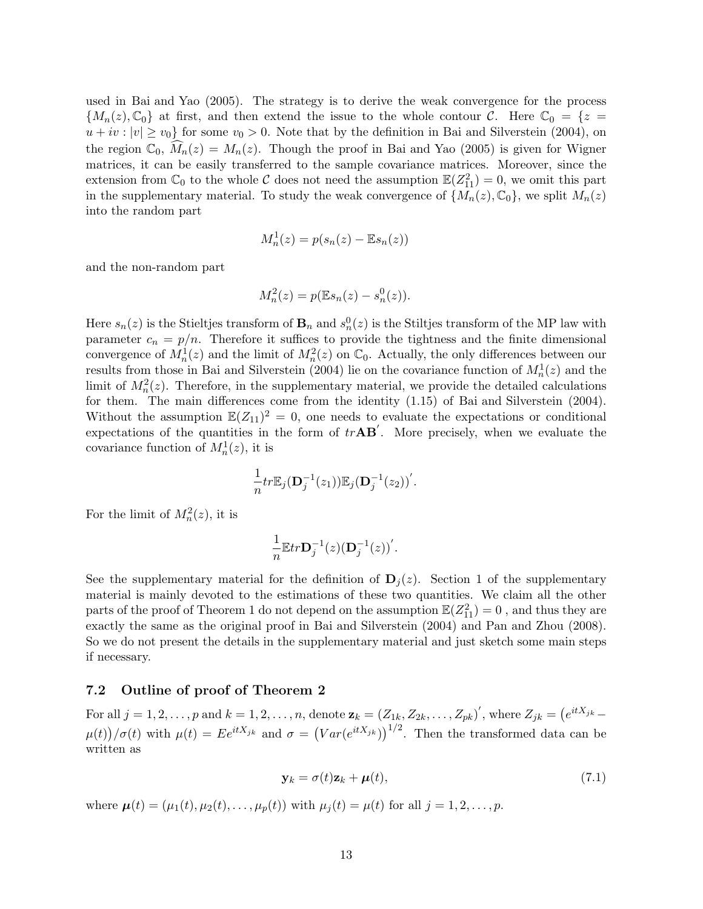used in Bai and Yao (2005). The strategy is to derive the weak convergence for the process  ${M_n(z),\mathbb{C}_0}$  at first, and then extend the issue to the whole contour C. Here  $\mathbb{C}_0 = \{z = 1\}$  $u + iv : |v| \ge v_0$  for some  $v_0 > 0$ . Note that by the definition in Bai and Silverstein (2004), on the region  $\mathbb{C}_0$ ,  $M_n(z) = M_n(z)$ . Though the proof in Bai and Yao (2005) is given for Wigner matrices, it can be easily transferred to the sample covariance matrices. Moreover, since the extension from  $\mathbb{C}_0$  to the whole C does not need the assumption  $\mathbb{E}(Z_{11}^2) = 0$ , we omit this part in the supplementary material. To study the weak convergence of  $\{M_n(z), \mathbb{C}_0\}$ , we split  $M_n(z)$ into the random part

$$
M_n^1(z) = p(s_n(z) - \mathbb{E}s_n(z))
$$

and the non-random part

$$
M_n^2(z) = p(\mathbb{E}s_n(z) - s_n^0(z)).
$$

Here  $s_n(z)$  is the Stieltjes transform of  $\mathbf{B}_n$  and  $s_n^0(z)$  is the Stiltjes transform of the MP law with parameter  $c_n = p/n$ . Therefore it suffices to provide the tightness and the finite dimensional convergence of  $M_n^1(z)$  and the limit of  $M_n^2(z)$  on  $\mathbb{C}_0$ . Actually, the only differences between our results from those in Bai and Silverstein (2004) lie on the covariance function of  $M_n^1(z)$  and the limit of  $M_n^2(z)$ . Therefore, in the supplementary material, we provide the detailed calculations for them. The main differences come from the identity (1.15) of Bai and Silverstein (2004). Without the assumption  $\mathbb{E}(Z_{11})^2 = 0$ , one needs to evaluate the expectations or conditional expectations of the quantities in the form of  $trAB'$ . More precisely, when we evaluate the covariance function of  $M_n^1(z)$ , it is

$$
\frac{1}{n}tr\mathbb{E}_j(\mathbf{D}_j^{-1}(z_1))\mathbb{E}_j(\mathbf{D}_j^{-1}(z_2))'.
$$

For the limit of  $M_n^2(z)$ , it is

$$
\frac{1}{n}\mathbb{E}tr\mathbf{D}_j^{-1}(z)\big(\mathbf{D}_j^{-1}(z)\big)'
$$

See the supplementary material for the definition of  $\mathbf{D}_j(z)$ . Section 1 of the supplementary material is mainly devoted to the estimations of these two quantities. We claim all the other parts of the proof of Theorem 1 do not depend on the assumption  $\mathbb{E}(Z_{11}^2) = 0$ , and thus they are exactly the same as the original proof in Bai and Silverstein (2004) and Pan and Zhou (2008). So we do not present the details in the supplementary material and just sketch some main steps if necessary.

#### 7.2 Outline of proof of Theorem 2

For all  $j = 1, 2, \ldots, p$  and  $k = 1, 2, \ldots, n$ , denote  $\mathbf{z}_k = (Z_{1k}, Z_{2k}, \ldots, Z_{pk})'$ , where  $Z_{jk} = (e^{itX_{jk}} \mu(t)/\sigma(t)$  with  $\mu(t) = Ee^{itX_{jk}}$  and  $\sigma = (Var(e^{itX_{jk}}))^{1/2}$ . Then the transformed data can be written as

$$
\mathbf{y}_k = \sigma(t)\mathbf{z}_k + \boldsymbol{\mu}(t),\tag{7.1}
$$

where  $\mu(t) = (\mu_1(t), \mu_2(t), \dots, \mu_p(t))$  with  $\mu_i(t) = \mu(t)$  for all  $j = 1, 2, \dots, p$ .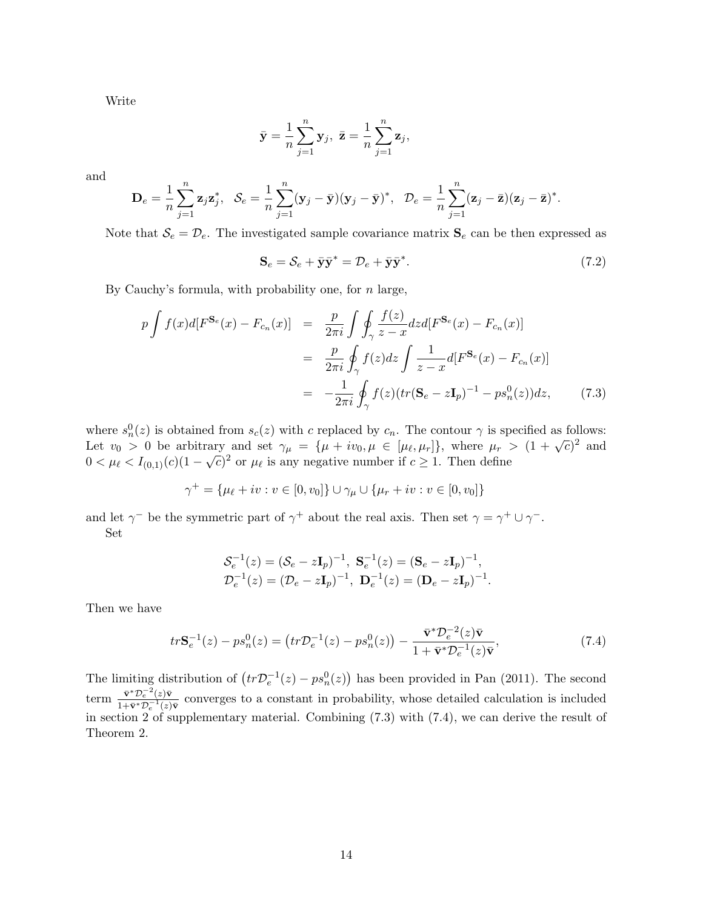Write

$$
\bar{\mathbf{y}} = \frac{1}{n} \sum_{j=1}^{n} \mathbf{y}_j, \ \bar{\mathbf{z}} = \frac{1}{n} \sum_{j=1}^{n} \mathbf{z}_j,
$$

and

$$
\mathbf{D}_e = \frac{1}{n} \sum_{j=1}^n \mathbf{z}_j \mathbf{z}_j^*, \quad \mathcal{S}_e = \frac{1}{n} \sum_{j=1}^n (\mathbf{y}_j - \bar{\mathbf{y}}) (\mathbf{y}_j - \bar{\mathbf{y}})^*, \quad \mathcal{D}_e = \frac{1}{n} \sum_{j=1}^n (\mathbf{z}_j - \bar{\mathbf{z}}) (\mathbf{z}_j - \bar{\mathbf{z}})^*.
$$

Note that  $S_e = \mathcal{D}_e$ . The investigated sample covariance matrix  $S_e$  can be then expressed as

$$
\mathbf{S}_e = \mathcal{S}_e + \bar{\mathbf{y}}\bar{\mathbf{y}}^* = \mathcal{D}_e + \bar{\mathbf{y}}\bar{\mathbf{y}}^*.
$$
 (7.2)

By Cauchy's formula, with probability one, for  $n$  large,

$$
p \int f(x)d[F^{\mathbf{S}_{e}}(x) - F_{c_{n}}(x)] = \frac{p}{2\pi i} \int \oint_{\gamma} \frac{f(z)}{z - x} dz d[F^{\mathbf{S}_{e}}(x) - F_{c_{n}}(x)]
$$
  

$$
= \frac{p}{2\pi i} \oint_{\gamma} f(z) dz \int \frac{1}{z - x} d[F^{\mathbf{S}_{e}}(x) - F_{c_{n}}(x)]
$$
  

$$
= -\frac{1}{2\pi i} \oint_{\gamma} f(z) (tr(\mathbf{S}_{e} - z\mathbf{I}_{p})^{-1} - ps_{n}^{0}(z)) dz, \qquad (7.3)
$$

where  $s_n^0(z)$  is obtained from  $s_c(z)$  with c replaced by  $c_n$ . The contour  $\gamma$  is specified as follows: Let  $v_0 > 0$  be arbitrary and set  $\gamma_\mu = {\mu + iv_0, \mu \in [\mu_\ell, \mu_r]}$ , where  $\mu_r > (1 + \sqrt{c})^2$  and Let  $v_0 > 0$  be arbitrary and set  $\gamma_{\mu} - \gamma_{\mu} + i v_0, \mu \in [\mu_{\ell}, \mu_{r}]$ , where  $\mu_r > 0 < \mu_{\ell} < I_{(0,1)}(c)(1 - \sqrt{c})^2$  or  $\mu_{\ell}$  is any negative number if  $c \ge 1$ . Then define

$$
\gamma^+ = \{\mu_\ell + iv : v \in [0, v_0]\} \cup \gamma_\mu \cup \{\mu_r + iv : v \in [0, v_0]\}
$$

and let  $\gamma^-$  be the symmetric part of  $\gamma^+$  about the real axis. Then set  $\gamma = \gamma^+ \cup \gamma^-$ . Set

$$
\mathcal{S}_e^{-1}(z) = (\mathcal{S}_e - z\mathbf{I}_p)^{-1}, \ \mathbf{S}_e^{-1}(z) = (\mathbf{S}_e - z\mathbf{I}_p)^{-1}, \mathcal{D}_e^{-1}(z) = (\mathcal{D}_e - z\mathbf{I}_p)^{-1}, \ \mathbf{D}_e^{-1}(z) = (\mathbf{D}_e - z\mathbf{I}_p)^{-1}.
$$

Then we have

$$
tr\mathbf{S}_e^{-1}(z) - ps_n^0(z) = \left(tr\mathcal{D}_e^{-1}(z) - ps_n^0(z)\right) - \frac{\bar{\mathbf{v}}^* \mathcal{D}_e^{-2}(z)\bar{\mathbf{v}}}{1 + \bar{\mathbf{v}}^* \mathcal{D}_e^{-1}(z)\bar{\mathbf{v}}},\tag{7.4}
$$

The limiting distribution of  $(tr\mathcal{D}_e^{-1}(z) - ps_n^0(z))$  has been provided in Pan (2011). The second term  $\frac{\bar{\mathbf{v}}^* \mathcal{D}_e^{-2}(z) \bar{\mathbf{v}}}{1 + \bar{\mathbf{v}}^* \mathcal{D}_e^{-1}(z)}$  $\frac{{\bf v} \cdot D_e(z){\bf v}}{1+\bar{{\bf v}}^*\mathcal{D}_e^{-1}(z)\bar{{\bf v}}}$  converges to a constant in probability, whose detailed calculation is included in section 2 of supplementary material. Combining (7.3) with (7.4), we can derive the result of Theorem 2.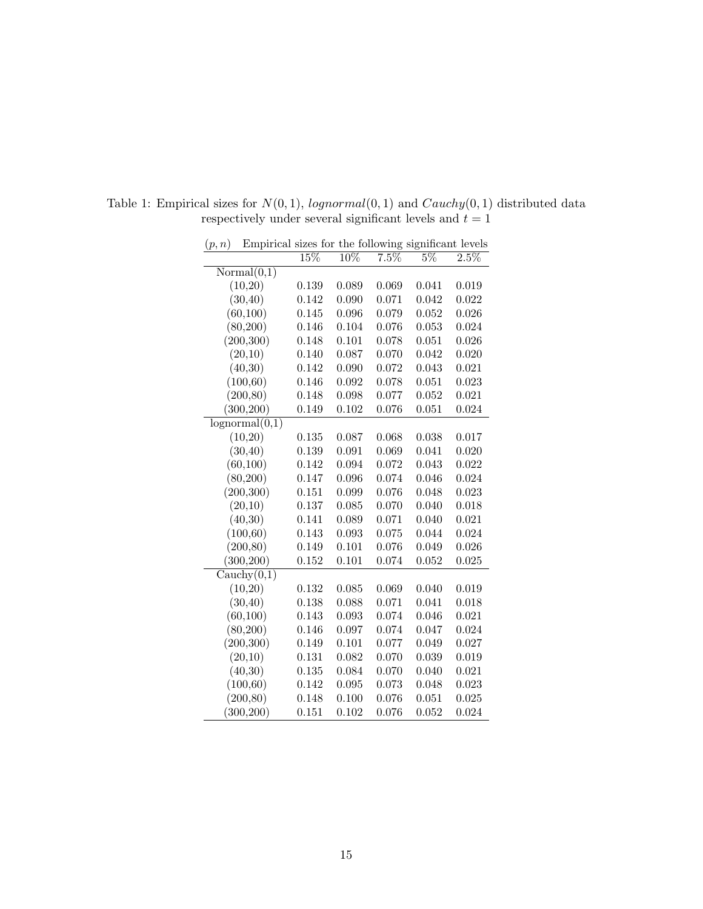| (p,n)          | Empirical sizes for the following significant levels |        |        |       |       |       |
|----------------|------------------------------------------------------|--------|--------|-------|-------|-------|
|                |                                                      | $15\%$ | $10\%$ | 7.5%  | $5\%$ | 2.5%  |
| Normal(0,1)    |                                                      |        |        |       |       |       |
| (10,20)        |                                                      | 0.139  | 0.089  | 0.069 | 0.041 | 0.019 |
| (30, 40)       |                                                      | 0.142  | 0.090  | 0.071 | 0.042 | 0.022 |
| (60, 100)      |                                                      | 0.145  | 0.096  | 0.079 | 0.052 | 0.026 |
| (80, 200)      |                                                      | 0.146  | 0.104  | 0.076 | 0.053 | 0.024 |
| (200, 300)     |                                                      | 0.148  | 0.101  | 0.078 | 0.051 | 0.026 |
| (20,10)        |                                                      | 0.140  | 0.087  | 0.070 | 0.042 | 0.020 |
| (40,30)        |                                                      | 0.142  | 0.090  | 0.072 | 0.043 | 0.021 |
| (100, 60)      |                                                      | 0.146  | 0.092  | 0.078 | 0.051 | 0.023 |
| (200, 80)      |                                                      | 0.148  | 0.098  | 0.077 | 0.052 | 0.021 |
| (300, 200)     |                                                      | 0.149  | 0.102  | 0.076 | 0.051 | 0.024 |
| lognormal(0,1) |                                                      |        |        |       |       |       |
| (10,20)        |                                                      | 0.135  | 0.087  | 0.068 | 0.038 | 0.017 |
| (30, 40)       |                                                      | 0.139  | 0.091  | 0.069 | 0.041 | 0.020 |
| (60, 100)      |                                                      | 0.142  | 0.094  | 0.072 | 0.043 | 0.022 |
| (80, 200)      |                                                      | 0.147  | 0.096  | 0.074 | 0.046 | 0.024 |
| (200, 300)     |                                                      | 0.151  | 0.099  | 0.076 | 0.048 | 0.023 |
| (20,10)        |                                                      | 0.137  | 0.085  | 0.070 | 0.040 | 0.018 |
| (40,30)        |                                                      | 0.141  | 0.089  | 0.071 | 0.040 | 0.021 |
| (100, 60)      |                                                      | 0.143  | 0.093  | 0.075 | 0.044 | 0.024 |
| (200, 80)      |                                                      | 0.149  | 0.101  | 0.076 | 0.049 | 0.026 |
| (300, 200)     |                                                      | 0.152  | 0.101  | 0.074 | 0.052 | 0.025 |
| Cauchy(0,1)    |                                                      |        |        |       |       |       |
| (10,20)        |                                                      | 0.132  | 0.085  | 0.069 | 0.040 | 0.019 |
| (30, 40)       |                                                      | 0.138  | 0.088  | 0.071 | 0.041 | 0.018 |
| (60, 100)      |                                                      | 0.143  | 0.093  | 0.074 | 0.046 | 0.021 |
| (80,200)       |                                                      | 0.146  | 0.097  | 0.074 | 0.047 | 0.024 |
| (200, 300)     |                                                      | 0.149  | 0.101  | 0.077 | 0.049 | 0.027 |
| (20,10)        |                                                      | 0.131  | 0.082  | 0.070 | 0.039 | 0.019 |
| (40,30)        |                                                      | 0.135  | 0.084  | 0.070 | 0.040 | 0.021 |
| (100, 60)      |                                                      | 0.142  | 0.095  | 0.073 | 0.048 | 0.023 |
| (200, 80)      |                                                      | 0.148  | 0.100  | 0.076 | 0.051 | 0.025 |
| (300, 200)     |                                                      | 0.151  | 0.102  | 0.076 | 0.052 | 0.024 |

Table 1: Empirical sizes for  $N(0, 1)$ ,  $lognormal(0, 1)$  and  $Cauchy(0, 1)$  distributed data respectively under several significant levels and  $t=1\,$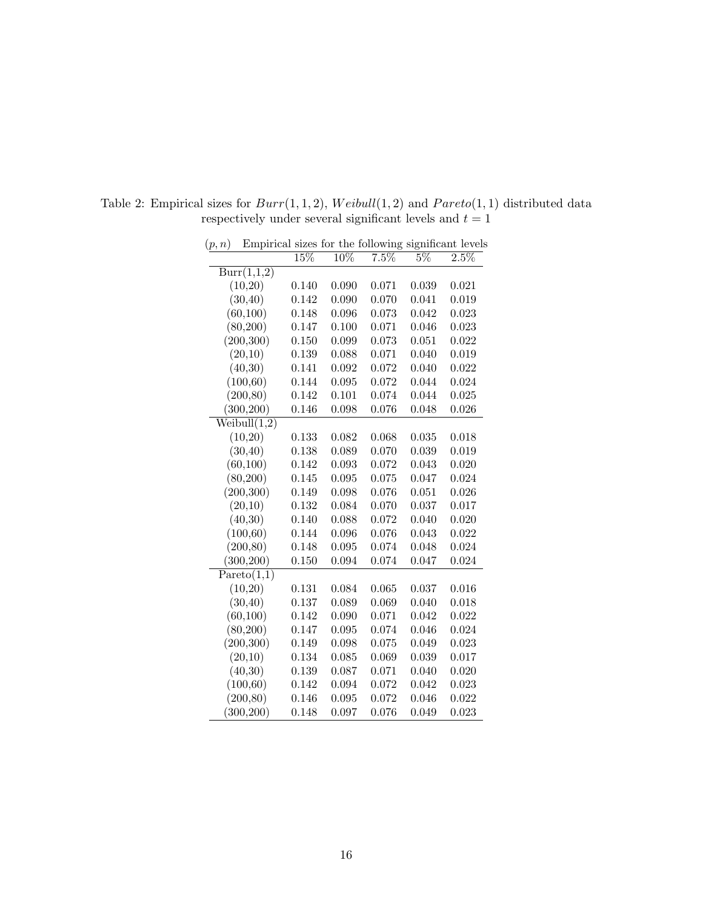| (p,n) |              |        |                   |       |       | Empirical sizes for the following significant levels |
|-------|--------------|--------|-------------------|-------|-------|------------------------------------------------------|
|       |              | $15\%$ | $\overline{10\%}$ | 7.5%  | $5\%$ | $2.5\%$                                              |
|       | Burr(1,1,2)  |        |                   |       |       |                                                      |
|       | (10,20)      | 0.140  | 0.090             | 0.071 | 0.039 | 0.021                                                |
|       | (30, 40)     | 0.142  | 0.090             | 0.070 | 0.041 | 0.019                                                |
|       | (60, 100)    | 0.148  | 0.096             | 0.073 | 0.042 | 0.023                                                |
|       | (80, 200)    | 0.147  | 0.100             | 0.071 | 0.046 | 0.023                                                |
|       | (200, 300)   | 0.150  | 0.099             | 0.073 | 0.051 | 0.022                                                |
|       | (20,10)      | 0.139  | 0.088             | 0.071 | 0.040 | 0.019                                                |
|       | (40,30)      | 0.141  | 0.092             | 0.072 | 0.040 | 0.022                                                |
|       | (100, 60)    | 0.144  | 0.095             | 0.072 | 0.044 | 0.024                                                |
|       | (200, 80)    | 0.142  | 0.101             | 0.074 | 0.044 | 0.025                                                |
|       | (300, 200)   | 0.146  | 0.098             | 0.076 | 0.048 | 0.026                                                |
|       | Weibull(1,2) |        |                   |       |       |                                                      |
|       | (10,20)      | 0.133  | 0.082             | 0.068 | 0.035 | 0.018                                                |
|       | (30, 40)     | 0.138  | 0.089             | 0.070 | 0.039 | 0.019                                                |
|       | (60, 100)    | 0.142  | 0.093             | 0.072 | 0.043 | 0.020                                                |
|       | (80, 200)    | 0.145  | 0.095             | 0.075 | 0.047 | 0.024                                                |
|       | (200, 300)   | 0.149  | 0.098             | 0.076 | 0.051 | 0.026                                                |
|       | (20,10)      | 0.132  | 0.084             | 0.070 | 0.037 | 0.017                                                |
|       | (40,30)      | 0.140  | 0.088             | 0.072 | 0.040 | 0.020                                                |
|       | (100, 60)    | 0.144  | 0.096             | 0.076 | 0.043 | 0.022                                                |
|       | (200, 80)    | 0.148  | 0.095             | 0.074 | 0.048 | 0.024                                                |
|       | (300, 200)   | 0.150  | 0.094             | 0.074 | 0.047 | 0.024                                                |
|       | Pareto(1,1)  |        |                   |       |       |                                                      |
|       | (10,20)      | 0.131  | 0.084             | 0.065 | 0.037 | 0.016                                                |
|       | (30, 40)     | 0.137  | 0.089             | 0.069 | 0.040 | 0.018                                                |
|       | (60, 100)    | 0.142  | 0.090             | 0.071 | 0.042 | 0.022                                                |
|       | (80,200)     | 0.147  | 0.095             | 0.074 | 0.046 | 0.024                                                |
|       | (200, 300)   | 0.149  | 0.098             | 0.075 | 0.049 | 0.023                                                |
|       | (20,10)      | 0.134  | 0.085             | 0.069 | 0.039 | 0.017                                                |
|       | (40,30)      | 0.139  | 0.087             | 0.071 | 0.040 | 0.020                                                |
|       | (100, 60)    | 0.142  | 0.094             | 0.072 | 0.042 | 0.023                                                |
|       | (200, 80)    | 0.146  | 0.095             | 0.072 | 0.046 | 0.022                                                |
|       | (300, 200)   | 0.148  | 0.097             | 0.076 | 0.049 | 0.023                                                |

Table 2: Empirical sizes for  $Burr(1, 1, 2)$ ,  $Weibull(1, 2)$  and  $Pareto(1, 1)$  distributed data respectively under several significant levels and  $t=1\,$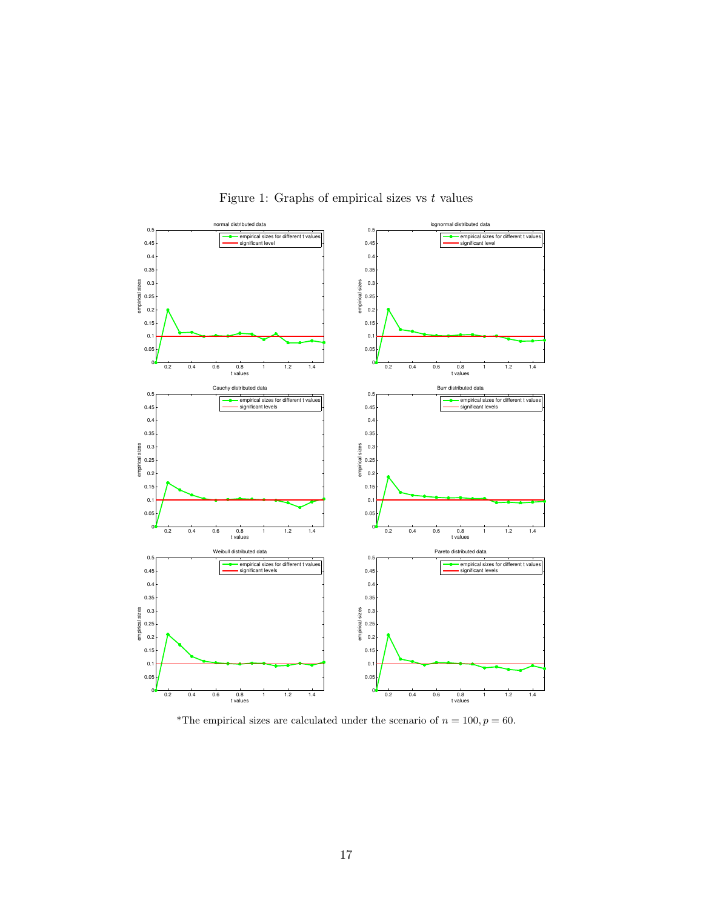

Figure 1: Graphs of empirical sizes vs  $t$  values

\*The empirical sizes are calculated under the scenario of  $n = 100, p = 60$ .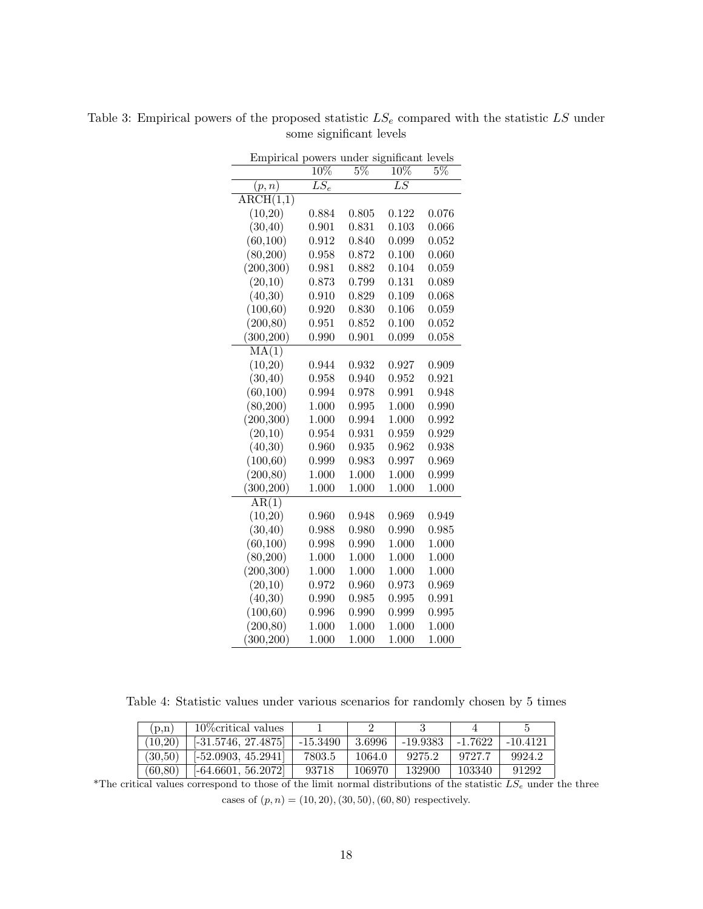| Empirical powers under significant levels |                   |                  |                   |       |
|-------------------------------------------|-------------------|------------------|-------------------|-------|
|                                           | $\overline{10\%}$ | $\overline{5\%}$ | $\overline{10\%}$ | $5\%$ |
| (p,n)                                     | $\overline{LS_e}$ |                  | $\overline{LS}$   |       |
| $\overline{\text{ARCH}(1,1)}$             |                   |                  |                   |       |
| (10,20)                                   | 0.884             | 0.805            | 0.122             | 0.076 |
| (30, 40)                                  | 0.901             | 0.831            | 0.103             | 0.066 |
| (60, 100)                                 | 0.912             | 0.840            | 0.099             | 0.052 |
| (80, 200)                                 | 0.958             | 0.872            | 0.100             | 0.060 |
| (200, 300)                                | 0.981             | 0.882            | 0.104             | 0.059 |
| (20,10)                                   | 0.873             | 0.799            | 0.131             | 0.089 |
| (40,30)                                   | 0.910             | 0.829            | 0.109             | 0.068 |
| (100, 60)                                 | 0.920             | 0.830            | 0.106             | 0.059 |
| (200, 80)                                 | 0.951             | 0.852            | 0.100             | 0.052 |
| (300, 200)                                | 0.990             | 0.901            | 0.099             | 0.058 |
| MA(1)                                     |                   |                  |                   |       |
| (10,20)                                   | 0.944             | 0.932            | 0.927             | 0.909 |
| (30, 40)                                  | 0.958             | 0.940            | 0.952             | 0.921 |
| (60, 100)                                 | 0.994             | 0.978            | 0.991             | 0.948 |
| (80, 200)                                 | 1.000             | 0.995            | 1.000             | 0.990 |
| (200, 300)                                | 1.000             | 0.994            | 1.000             | 0.992 |
| (20,10)                                   | 0.954             | 0.931            | 0.959             | 0.929 |
| (40,30)                                   | 0.960             | 0.935            | 0.962             | 0.938 |
| (100, 60)                                 | 0.999             | 0.983            | 0.997             | 0.969 |
| (200, 80)                                 | 1.000             | 1.000            | 1.000             | 0.999 |
| (300, 200)                                | 1.000             | 1.000            | 1.000             | 1.000 |
| AR(1)                                     |                   |                  |                   |       |
| (10,20)                                   | 0.960             | 0.948            | 0.969             | 0.949 |
| (30, 40)                                  | 0.988             | 0.980            | 0.990             | 0.985 |
| (60, 100)                                 | 0.998             | 0.990            | 1.000             | 1.000 |
| (80, 200)                                 | 1.000             | 1.000            | 1.000             | 1.000 |
| (200, 300)                                | 1.000             | 1.000            | 1.000             | 1.000 |
| (20,10)                                   | 0.972             | 0.960            | 0.973             | 0.969 |
| (40,30)                                   | 0.990             | 0.985            | 0.995             | 0.991 |
| (100, 60)                                 | 0.996             | 0.990            | 0.999             | 0.995 |
| (200, 80)                                 | 1.000             | 1.000            | 1.000             | 1.000 |
| (300, 200)                                | 1.000             | 1.000            | 1.000             | 1.000 |

Table 3: Empirical powers of the proposed statistic  $LS_e$  compared with the statistic  $LS$  under some significant levels

Table 4: Statistic values under various scenarios for randomly chosen by 5 times

| (p,n)   | 10\, critical values  |          |         |          |           |            |
|---------|-----------------------|----------|---------|----------|-----------|------------|
| (10.20) | $[-31.5746, 27.4875]$ | -15.3490 | -3.6996 | -19.9383 | $-1.7622$ | $-10.4121$ |
| (30.50) | $[-52.0903, 45.2941]$ | 7803.5   | 1064.0  | 9275.2   | 9727.7    | 9924.2     |
| (60.80) | $[-64.6601, 56.2072]$ | 93718    | 106970  | 132900   | 103340    | 91292      |

\*The critical values correspond to those of the limit normal distributions of the statistic  $LS_e$  under the three cases of  $(p, n) = (10, 20), (30, 50), (60, 80)$  respectively.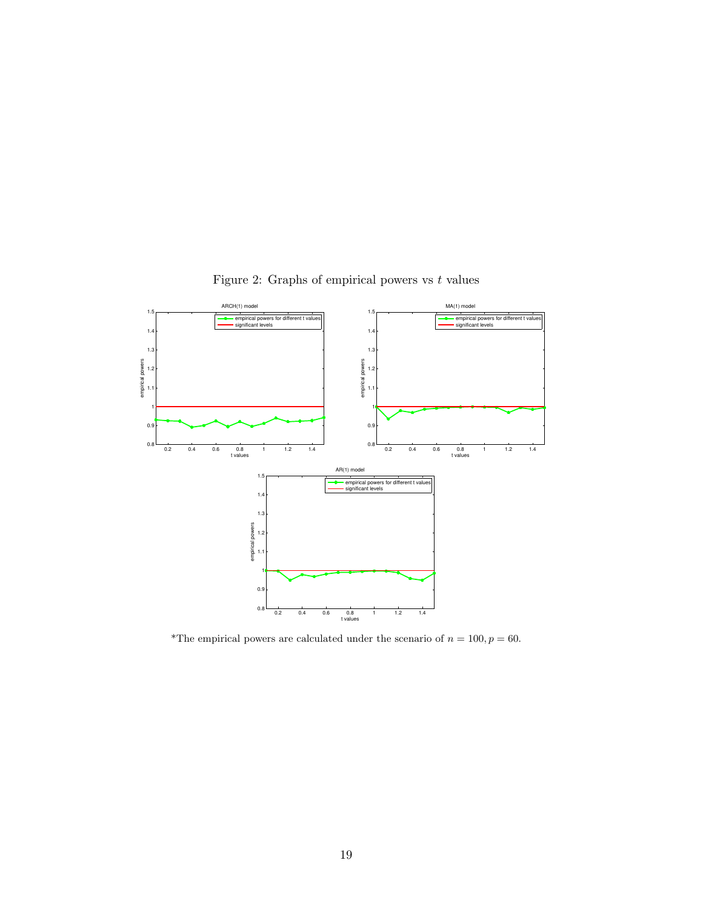

Figure 2: Graphs of empirical powers vs  $t$  values

\*The empirical powers are calculated under the scenario of  $n = 100, p = 60$ .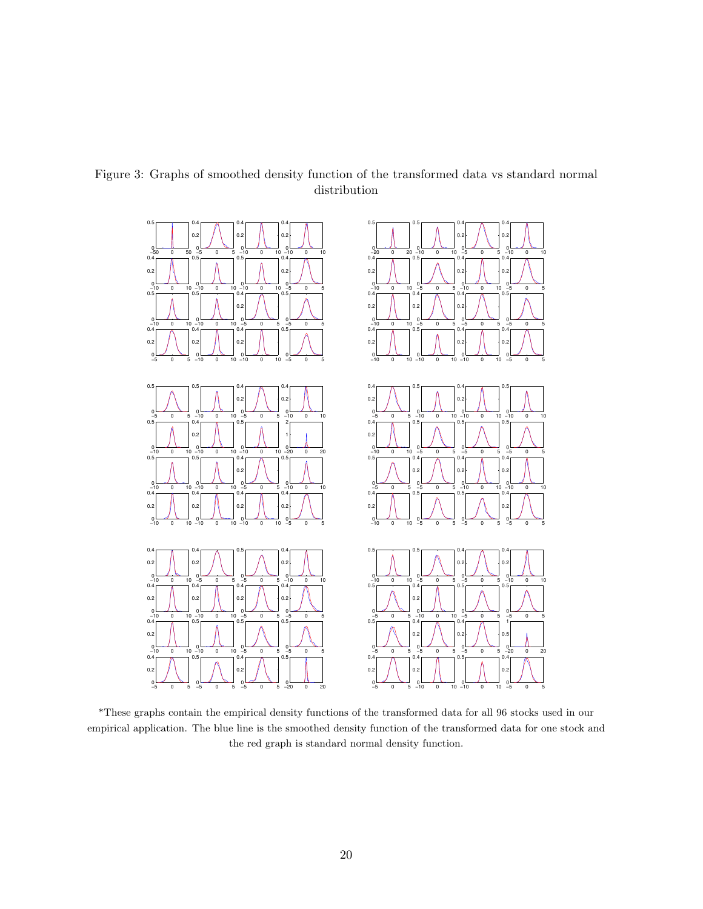

Figure 3: Graphs of smoothed density function of the transformed data vs standard normal distribution

\*These graphs contain the empirical density functions of the transformed data for all 96 stocks used in our empirical application. The blue line is the smoothed density function of the transformed data for one stock and the red graph is standard normal density function.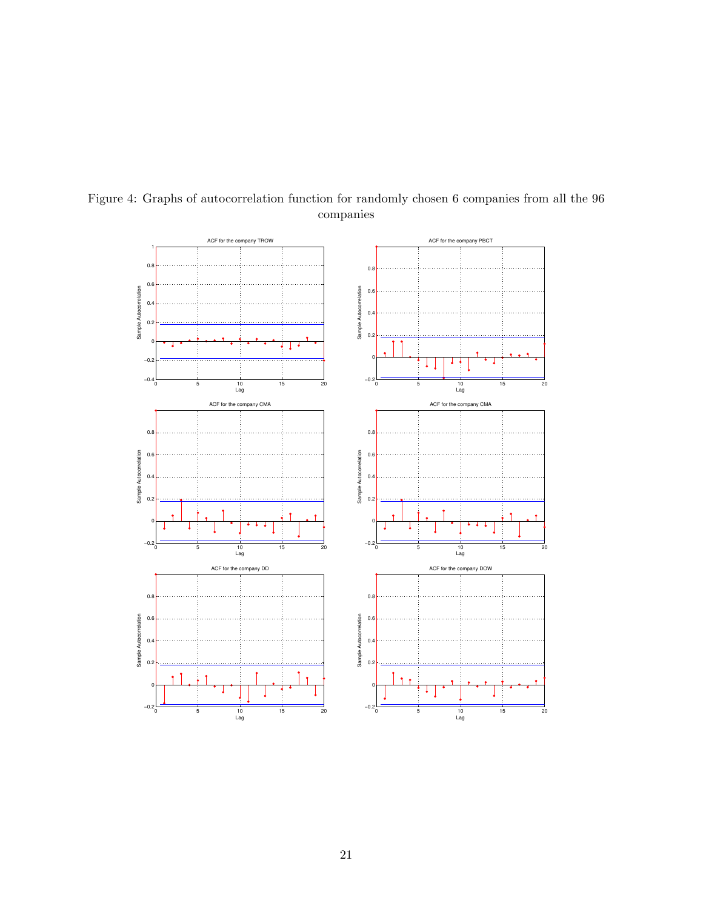

Figure 4: Graphs of autocorrelation function for randomly chosen 6 companies from all the 96 companies